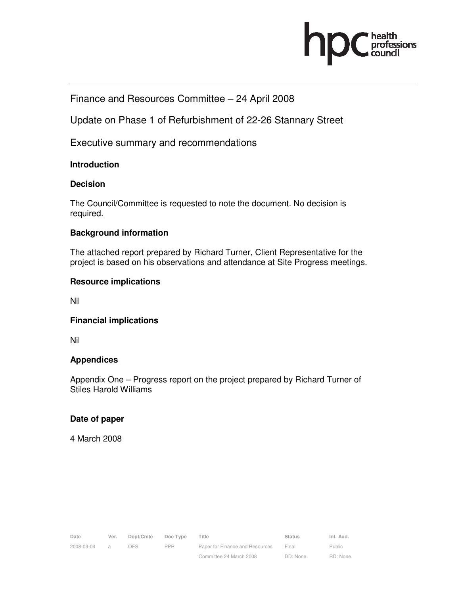

## Finance and Resources Committee – 24 April 2008

Update on Phase 1 of Refurbishment of 22-26 Stannary Street

Executive summary and recommendations

## **Introduction**

## **Decision**

The Council/Committee is requested to note the document. No decision is required.

## **Background information**

The attached report prepared by Richard Turner, Client Representative for the project is based on his observations and attendance at Site Progress meetings.

## **Resource implications**

Nil

## **Financial implications**

Nil

## **Appendices**

Appendix One – Progress report on the project prepared by Richard Turner of Stiles Harold Williams

## **Date of paper**

4 March 2008

| Date       | Ver.          | Dept/Cmte | Doc Type   | Title                           | <b>Status</b> | Int. Aud.     |
|------------|---------------|-----------|------------|---------------------------------|---------------|---------------|
| 2008-03-04 | $\mathcal{A}$ | OES.      | <b>PPR</b> | Paper for Finance and Resources | Final         | <b>Public</b> |
|            |               |           |            | Committee 24 March 2008         | DD: None      | RD: None      |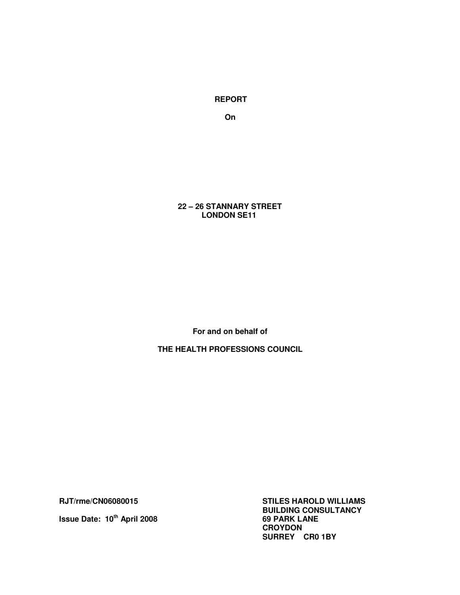**REPORT** 

**On** 

 **22 – 26 STANNARY STREET LONDON SE11** 

**For and on behalf of** 

**THE HEALTH PROFESSIONS COUNCIL** 

**Issue Date: 10<sup>th</sup> April 2008** 

**RJT/rme/CN06080015 STILES HAROLD WILLIAMS BUILDING CONSULTANCY CROYDON SURREY CR0 1BY**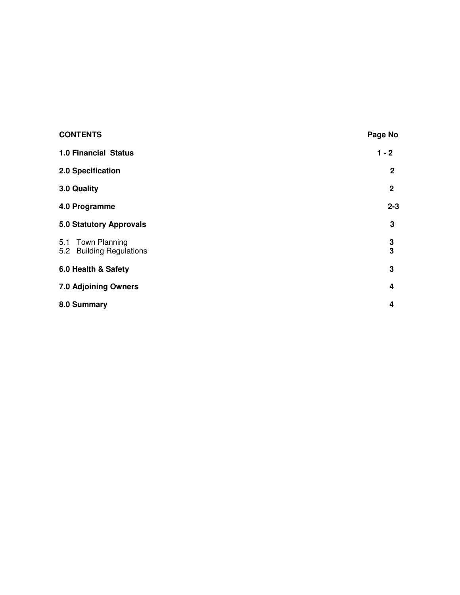| <b>CONTENTS</b>                               | Page No      |
|-----------------------------------------------|--------------|
| 1.0 Financial Status                          | $1 - 2$      |
| 2.0 Specification                             | $\mathbf{2}$ |
| 3.0 Quality                                   | $\mathbf 2$  |
| 4.0 Programme                                 | $2 - 3$      |
| <b>5.0 Statutory Approvals</b>                | 3            |
| 5.1 Town Planning<br>5.2 Building Regulations | 3<br>3       |
| 6.0 Health & Safety                           | $\mathbf 3$  |
| 7.0 Adjoining Owners                          | 4            |
| 8.0 Summary                                   | 4            |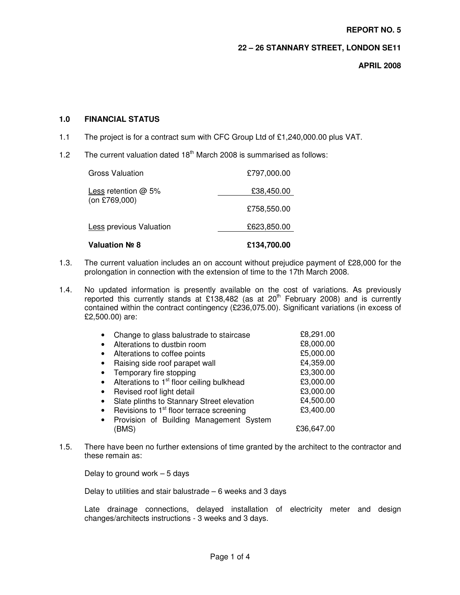#### **REPORT NO. 5**

## **22 – 26 STANNARY STREET, LONDON SE11**

**APRIL 2008** 

### **1.0 FINANCIAL STATUS**

- 1.1 The project is for a contract sum with CFC Group Ltd of £1,240,000.00 plus VAT.
- 1.2 The current valuation dated 18<sup>th</sup> March 2008 is summarised as follows:

| Valuation № 8           | £134.700.00 |
|-------------------------|-------------|
| Less previous Valuation | £623,850.00 |
| (on £769,000)           | £758,550.00 |
| Less retention $@$ 5%   | £38,450.00  |
| Gross Valuation         | £797,000.00 |

- 1.3. The current valuation includes an on account without prejudice payment of £28,000 for the prolongation in connection with the extension of time to the 17th March 2008.
- 1.4. No updated information is presently available on the cost of variations. As previously reported this currently stands at £138,482 (as at  $20<sup>th</sup>$  February 2008) and is currently contained within the contract contingency (£236,075.00). Significant variations (in excess of £2,500.00) are:

|           | Change to glass balustrade to staircase               | £8,291.00  |
|-----------|-------------------------------------------------------|------------|
| $\bullet$ | Alterations to dustbin room                           | £8,000.00  |
| $\bullet$ | Alterations to coffee points                          | £5,000.00  |
| $\bullet$ | Raising side roof parapet wall                        | £4,359.00  |
|           | Temporary fire stopping                               | £3,300.00  |
|           | Alterations to 1 <sup>st</sup> floor ceiling bulkhead | £3,000.00  |
| $\bullet$ | Revised roof light detail                             | £3,000.00  |
| $\bullet$ | Slate plinths to Stannary Street elevation            | £4,500.00  |
| $\bullet$ | Revisions to 1 <sup>st</sup> floor terrace screening  | £3,400.00  |
|           | Provision of Building Management System               |            |
|           | (BMS)                                                 | £36.647.00 |

1.5. There have been no further extensions of time granted by the architect to the contractor and these remain as:

Delay to ground work  $-5$  days

Delay to utilities and stair balustrade  $-6$  weeks and 3 days

Late drainage connections, delayed installation of electricity meter and design changes/architects instructions - 3 weeks and 3 days.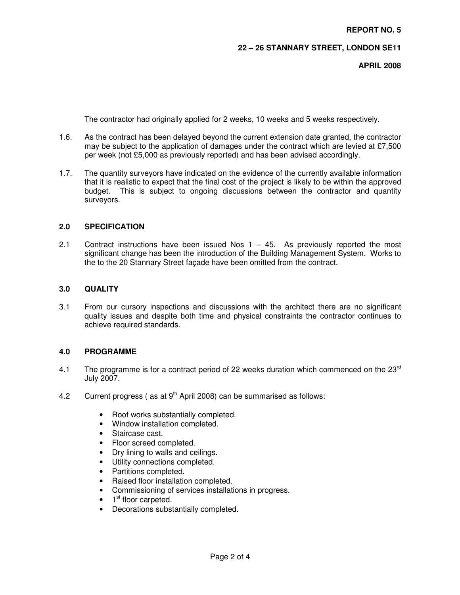## **22 – 26 STANNARY STREET, LONDON SE11**

**APRIL 2008** 

The contractor had originally applied for 2 weeks, 10 weeks and 5 weeks respectively.

- 1.6. As the contract has been delayed beyond the current extension date granted, the contractor may be subject to the application of damages under the contract which are levied at £7,500 per week (not £5,000 as previously reported) and has been advised accordingly.
- 1.7. The quantity surveyors have indicated on the evidence of the currently available information that it is realistic to expect that the final cost of the project is likely to be within the approved budget. This is subject to ongoing discussions between the contractor and quantity surveyors.

#### **2.0 SPECIFICATION**

2.1 Contract instructions have been issued Nos  $1 - 45$ . As previously reported the most significant change has been the introduction of the Building Management System. Works to the to the 20 Stannary Street façade have been omitted from the contract.

## **3.0 QUALITY**

3.1 From our cursory inspections and discussions with the architect there are no significant quality issues and despite both time and physical constraints the contractor continues to achieve required standards.

#### **4.0 PROGRAMME**

- 4.1 The programme is for a contract period of 22 weeks duration which commenced on the  $23<sup>rd</sup>$ July 2007.
- 4.2 Current progress ( as at  $9<sup>th</sup>$  April 2008) can be summarised as follows:
	- Roof works substantially completed.
	- Window installation completed.
	- Staircase cast.
	- Floor screed completed.
	- Dry lining to walls and ceilings.
	- Utility connections completed.
	- Partitions completed.
	- Raised floor installation completed.
	- Commissioning of services installations in progress.
	- 1<sup>st</sup> floor carpeted.
	- Decorations substantially completed.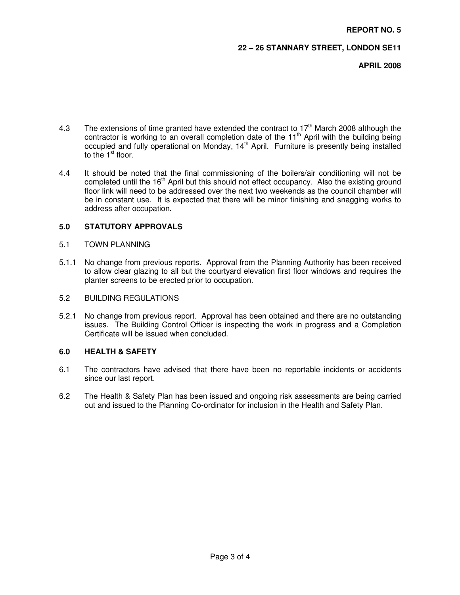### **22 – 26 STANNARY STREET, LONDON SE11**

**APRIL 2008** 

- 4.3 The extensions of time granted have extended the contract to  $17<sup>th</sup>$  March 2008 although the contractor is working to an overall completion date of the 11<sup>th</sup> April with the building being occupied and fully operational on Monday,  $14<sup>th</sup>$  April. Furniture is presently being installed to the  $1<sup>st</sup>$  floor.
- 4.4 It should be noted that the final commissioning of the boilers/air conditioning will not be completed until the 16<sup>th</sup> April but this should not effect occupancy. Also the existing ground floor link will need to be addressed over the next two weekends as the council chamber will be in constant use. It is expected that there will be minor finishing and snagging works to address after occupation.

## **5.0 STATUTORY APPROVALS**

#### 5.1 TOWN PLANNING

5.1.1 No change from previous reports. Approval from the Planning Authority has been received to allow clear glazing to all but the courtyard elevation first floor windows and requires the planter screens to be erected prior to occupation.

#### 5.2 BUILDING REGULATIONS

5.2.1 No change from previous report. Approval has been obtained and there are no outstanding issues. The Building Control Officer is inspecting the work in progress and a Completion Certificate will be issued when concluded.

#### **6.0 HEALTH & SAFETY**

- 6.1 The contractors have advised that there have been no reportable incidents or accidents since our last report.
- 6.2 The Health & Safety Plan has been issued and ongoing risk assessments are being carried out and issued to the Planning Co-ordinator for inclusion in the Health and Safety Plan.